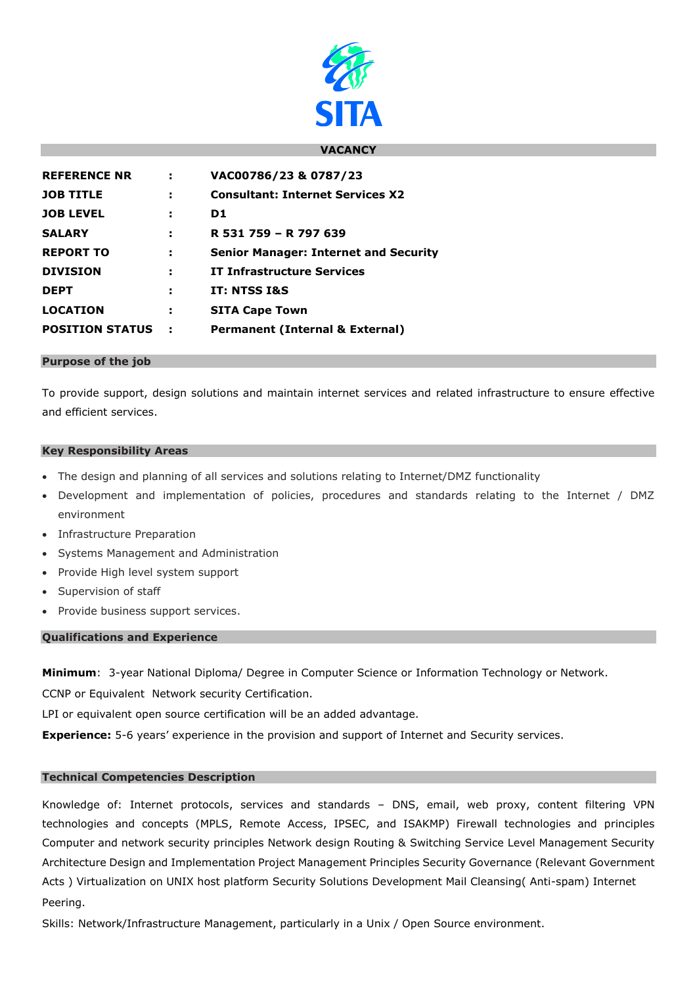

### **VACANCY**

| ÷   | VAC00786/23 & 0787/23                        |
|-----|----------------------------------------------|
| ÷   | <b>Consultant: Internet Services X2</b>      |
| н   | D1                                           |
| н   | R 531 759 - R 797 639                        |
| ÷   | <b>Senior Manager: Internet and Security</b> |
| ÷   | <b>IT Infrastructure Services</b>            |
| н   | IT: NTSS I&S                                 |
| ÷   | <b>SITA Cape Town</b>                        |
| - 1 | <b>Permanent (Internal &amp; External)</b>   |
|     |                                              |

#### **Purpose of the job**

To provide support, design solutions and maintain internet services and related infrastructure to ensure effective and efficient services.

### **Key Responsibility Areas**

- The design and planning of all services and solutions relating to Internet/DMZ functionality
- Development and implementation of policies, procedures and standards relating to the Internet / DMZ environment
- Infrastructure Preparation
- Systems Management and Administration
- Provide High level system support
- Supervision of staff
- Provide business support services.

# **Qualifications and Experience**

**Minimum**: 3-year National Diploma/ Degree in Computer Science or Information Technology or Network.

CCNP or Equivalent Network security Certification.

LPI or equivalent open source certification will be an added advantage.

**Experience:** 5-6 years' experience in the provision and support of Internet and Security services.

# **Technical Competencies Description**

Knowledge of: Internet protocols, services and standards – DNS, email, web proxy, content filtering VPN technologies and concepts (MPLS, Remote Access, IPSEC, and ISAKMP) Firewall technologies and principles Computer and network security principles Network design Routing & Switching Service Level Management Security Architecture Design and Implementation Project Management Principles Security Governance (Relevant Government Acts ) Virtualization on UNIX host platform Security Solutions Development Mail Cleansing( Anti-spam) Internet Peering.

Skills: Network/Infrastructure Management, particularly in a Unix / Open Source environment.